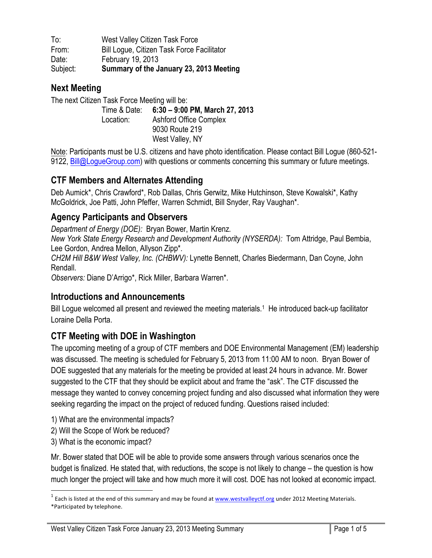To: West Valley Citizen Task Force From: Bill Logue, Citizen Task Force Facilitator Date: February 19, 2013 Subject: **Summary of the January 23, 2013 Meeting**

### **Next Meeting**

The next Citizen Task Force Meeting will be: Time & Date: **6:30 – 9:00 PM, March 27, 2013** Location: Ashford Office Complex 9030 Route 219 West Valley, NY

Note: Participants must be U.S. citizens and have photo identification. Please contact Bill Logue (860-521- 9122, Bill@LogueGroup.com) with questions or comments concerning this summary or future meetings.

## **CTF Members and Alternates Attending**

Deb Aumick\*, Chris Crawford\*, Rob Dallas, Chris Gerwitz, Mike Hutchinson, Steve Kowalski\*, Kathy McGoldrick, Joe Patti, John Pfeffer, Warren Schmidt, Bill Snyder, Ray Vaughan\*.

### **Agency Participants and Observers**

*Department of Energy (DOE):* Bryan Bower, Martin Krenz*. New York State Energy Research and Development Authority (NYSERDA):* Tom Attridge, Paul Bembia, Lee Gordon, Andrea Mellon, Allyson Zipp\*. *CH2M Hill B&W West Valley, Inc. (CHBWV):* Lynette Bennett, Charles Biedermann, Dan Coyne, John Rendall.

*Observers:* Diane D'Arrigo\*, Rick Miller, Barbara Warren\*.

#### **Introductions and Announcements**

Bill Logue welcomed all present and reviewed the meeting materials. <sup>1</sup> He introduced back-up facilitator Loraine Della Porta.

## **CTF Meeting with DOE in Washington**

The upcoming meeting of a group of CTF members and DOE Environmental Management (EM) leadership was discussed. The meeting is scheduled for February 5, 2013 from 11:00 AM to noon. Bryan Bower of DOE suggested that any materials for the meeting be provided at least 24 hours in advance. Mr. Bower suggested to the CTF that they should be explicit about and frame the "ask". The CTF discussed the message they wanted to convey concerning project funding and also discussed what information they were seeking regarding the impact on the project of reduced funding. Questions raised included:

- 1) What are the environmental impacts?
- 2) Will the Scope of Work be reduced?
- 3) What is the economic impact?

Mr. Bower stated that DOE will be able to provide some answers through various scenarios once the budget is finalized. He stated that, with reductions, the scope is not likely to change – the question is how much longer the project will take and how much more it will cost. DOE has not looked at economic impact.

 $1$  Each is listed at the end of this summary and may be found at  $www.westvalleyctf.org$  under 2012 Meeting Materials. \*Participated by telephone.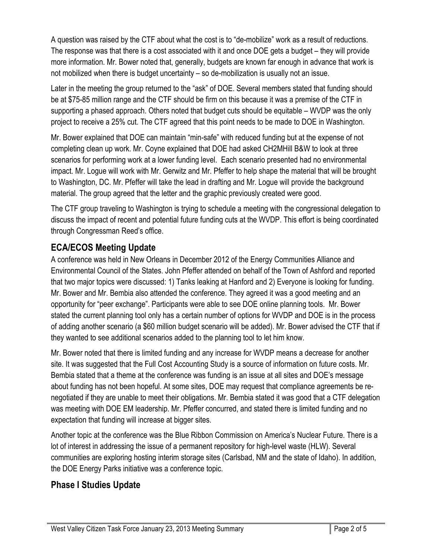A question was raised by the CTF about what the cost is to "de-mobilize" work as a result of reductions. The response was that there is a cost associated with it and once DOE gets a budget – they will provide more information. Mr. Bower noted that, generally, budgets are known far enough in advance that work is not mobilized when there is budget uncertainty – so de-mobilization is usually not an issue.

Later in the meeting the group returned to the "ask" of DOE. Several members stated that funding should be at \$75-85 million range and the CTF should be firm on this because it was a premise of the CTF in supporting a phased approach. Others noted that budget cuts should be equitable – WVDP was the only project to receive a 25% cut. The CTF agreed that this point needs to be made to DOE in Washington.

Mr. Bower explained that DOE can maintain "min-safe" with reduced funding but at the expense of not completing clean up work. Mr. Coyne explained that DOE had asked CH2MHill B&W to look at three scenarios for performing work at a lower funding level. Each scenario presented had no environmental impact. Mr. Logue will work with Mr. Gerwitz and Mr. Pfeffer to help shape the material that will be brought to Washington, DC. Mr. Pfeffer will take the lead in drafting and Mr. Logue will provide the background material. The group agreed that the letter and the graphic previously created were good.

The CTF group traveling to Washington is trying to schedule a meeting with the congressional delegation to discuss the impact of recent and potential future funding cuts at the WVDP. This effort is being coordinated through Congressman Reed's office.

# **ECA/ECOS Meeting Update**

A conference was held in New Orleans in December 2012 of the Energy Communities Alliance and Environmental Council of the States. John Pfeffer attended on behalf of the Town of Ashford and reported that two major topics were discussed: 1) Tanks leaking at Hanford and 2) Everyone is looking for funding. Mr. Bower and Mr. Bembia also attended the conference. They agreed it was a good meeting and an opportunity for "peer exchange". Participants were able to see DOE online planning tools. Mr. Bower stated the current planning tool only has a certain number of options for WVDP and DOE is in the process of adding another scenario (a \$60 million budget scenario will be added). Mr. Bower advised the CTF that if they wanted to see additional scenarios added to the planning tool to let him know.

Mr. Bower noted that there is limited funding and any increase for WVDP means a decrease for another site. It was suggested that the Full Cost Accounting Study is a source of information on future costs. Mr. Bembia stated that a theme at the conference was funding is an issue at all sites and DOE's message about funding has not been hopeful. At some sites, DOE may request that compliance agreements be renegotiated if they are unable to meet their obligations. Mr. Bembia stated it was good that a CTF delegation was meeting with DOE EM leadership. Mr. Pfeffer concurred, and stated there is limited funding and no expectation that funding will increase at bigger sites.

Another topic at the conference was the Blue Ribbon Commission on America's Nuclear Future. There is a lot of interest in addressing the issue of a permanent repository for high-level waste (HLW). Several communities are exploring hosting interim storage sites (Carlsbad, NM and the state of Idaho). In addition, the DOE Energy Parks initiative was a conference topic.

## **Phase I Studies Update**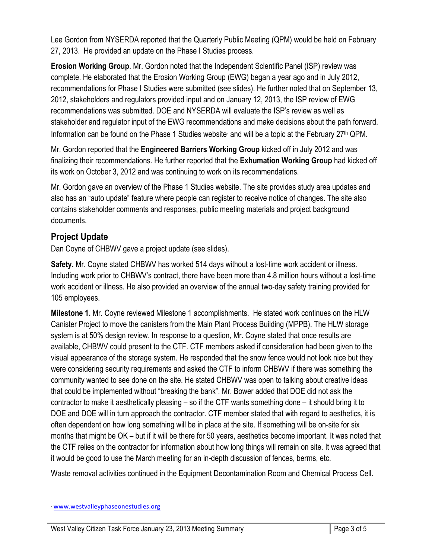Lee Gordon from NYSERDA reported that the Quarterly Public Meeting (QPM) would be held on February 27, 2013. He provided an update on the Phase I Studies process.

**Erosion Working Group**. Mr. Gordon noted that the Independent Scientific Panel (ISP) review was complete. He elaborated that the Erosion Working Group (EWG) began a year ago and in July 2012, recommendations for Phase I Studies were submitted (see slides). He further noted that on September 13, 2012, stakeholders and regulators provided input and on January 12, 2013, the ISP review of EWG recommendations was submitted. DOE and NYSERDA will evaluate the ISP's review as well as stakeholder and regulator input of the EWG recommendations and make decisions about the path forward. Information can be found on the Phase 1 Studies website<sup>∗</sup> and will be a topic at the February 27th QPM.

Mr. Gordon reported that the **Engineered Barriers Working Group** kicked off in July 2012 and was finalizing their recommendations. He further reported that the **Exhumation Working Group** had kicked off its work on October 3, 2012 and was continuing to work on its recommendations.

Mr. Gordon gave an overview of the Phase 1 Studies website. The site provides study area updates and also has an "auto update" feature where people can register to receive notice of changes. The site also contains stakeholder comments and responses, public meeting materials and project background documents.

## **Project Update**

Dan Coyne of CHBWV gave a project update (see slides).

**Safety.** Mr. Coyne stated CHBWV has worked 514 days without a lost-time work accident or illness. Including work prior to CHBWV's contract, there have been more than 4.8 million hours without a lost-time work accident or illness. He also provided an overview of the annual two-day safety training provided for 105 employees.

**Milestone 1.** Mr. Coyne reviewed Milestone 1 accomplishments. He stated work continues on the HLW Canister Project to move the canisters from the Main Plant Process Building (MPPB). The HLW storage system is at 50% design review. In response to a question, Mr. Coyne stated that once results are available, CHBWV could present to the CTF. CTF members asked if consideration had been given to the visual appearance of the storage system. He responded that the snow fence would not look nice but they were considering security requirements and asked the CTF to inform CHBWV if there was something the community wanted to see done on the site. He stated CHBWV was open to talking about creative ideas that could be implemented without "breaking the bank". Mr. Bower added that DOE did not ask the contractor to make it aesthetically pleasing – so if the CTF wants something done – it should bring it to DOE and DOE will in turn approach the contractor. CTF member stated that with regard to aesthetics, it is often dependent on how long something will be in place at the site. If something will be on-site for six months that might be OK – but if it will be there for 50 years, aesthetics become important. It was noted that the CTF relies on the contractor for information about how long things will remain on site. It was agreed that it would be good to use the March meeting for an in-depth discussion of fences, berms, etc.

Waste removal activities continued in the Equipment Decontamination Room and Chemical Process Cell.

<sup>&</sup>lt;u> Andrew Maria (1989)</u> <sup>∗</sup> www.westvalleyphaseonestudies.org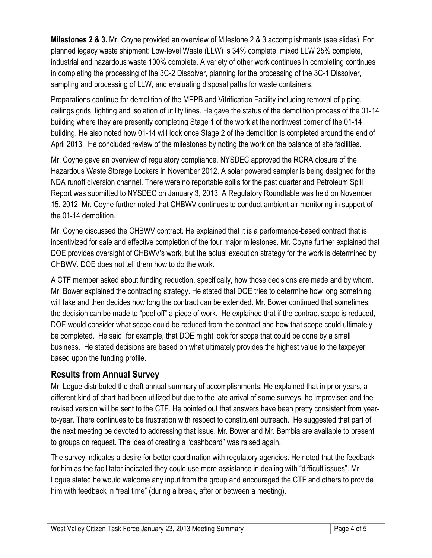**Milestones 2 & 3.** Mr. Coyne provided an overview of Milestone 2 & 3 accomplishments (see slides). For planned legacy waste shipment: Low-level Waste (LLW) is 34% complete, mixed LLW 25% complete, industrial and hazardous waste 100% complete. A variety of other work continues in completing continues in completing the processing of the 3C-2 Dissolver, planning for the processing of the 3C-1 Dissolver, sampling and processing of LLW, and evaluating disposal paths for waste containers.

Preparations continue for demolition of the MPPB and Vitrification Facility including removal of piping, ceilings grids, lighting and isolation of utility lines. He gave the status of the demolition process of the 01-14 building where they are presently completing Stage 1 of the work at the northwest corner of the 01-14 building. He also noted how 01-14 will look once Stage 2 of the demolition is completed around the end of April 2013. He concluded review of the milestones by noting the work on the balance of site facilities.

Mr. Coyne gave an overview of regulatory compliance. NYSDEC approved the RCRA closure of the Hazardous Waste Storage Lockers in November 2012. A solar powered sampler is being designed for the NDA runoff diversion channel. There were no reportable spills for the past quarter and Petroleum Spill Report was submitted to NYSDEC on January 3, 2013. A Regulatory Roundtable was held on November 15, 2012. Mr. Coyne further noted that CHBWV continues to conduct ambient air monitoring in support of the 01-14 demolition.

Mr. Coyne discussed the CHBWV contract. He explained that it is a performance-based contract that is incentivized for safe and effective completion of the four major milestones. Mr. Coyne further explained that DOE provides oversight of CHBWV's work, but the actual execution strategy for the work is determined by CHBWV. DOE does not tell them how to do the work.

A CTF member asked about funding reduction, specifically, how those decisions are made and by whom. Mr. Bower explained the contracting strategy. He stated that DOE tries to determine how long something will take and then decides how long the contract can be extended. Mr. Bower continued that sometimes, the decision can be made to "peel off" a piece of work. He explained that if the contract scope is reduced, DOE would consider what scope could be reduced from the contract and how that scope could ultimately be completed. He said, for example, that DOE might look for scope that could be done by a small business. He stated decisions are based on what ultimately provides the highest value to the taxpayer based upon the funding profile.

### **Results from Annual Survey**

Mr. Logue distributed the draft annual summary of accomplishments. He explained that in prior years, a different kind of chart had been utilized but due to the late arrival of some surveys, he improvised and the revised version will be sent to the CTF. He pointed out that answers have been pretty consistent from yearto-year. There continues to be frustration with respect to constituent outreach. He suggested that part of the next meeting be devoted to addressing that issue. Mr. Bower and Mr. Bembia are available to present to groups on request. The idea of creating a "dashboard" was raised again.

The survey indicates a desire for better coordination with regulatory agencies. He noted that the feedback for him as the facilitator indicated they could use more assistance in dealing with "difficult issues". Mr. Logue stated he would welcome any input from the group and encouraged the CTF and others to provide him with feedback in "real time" (during a break, after or between a meeting).